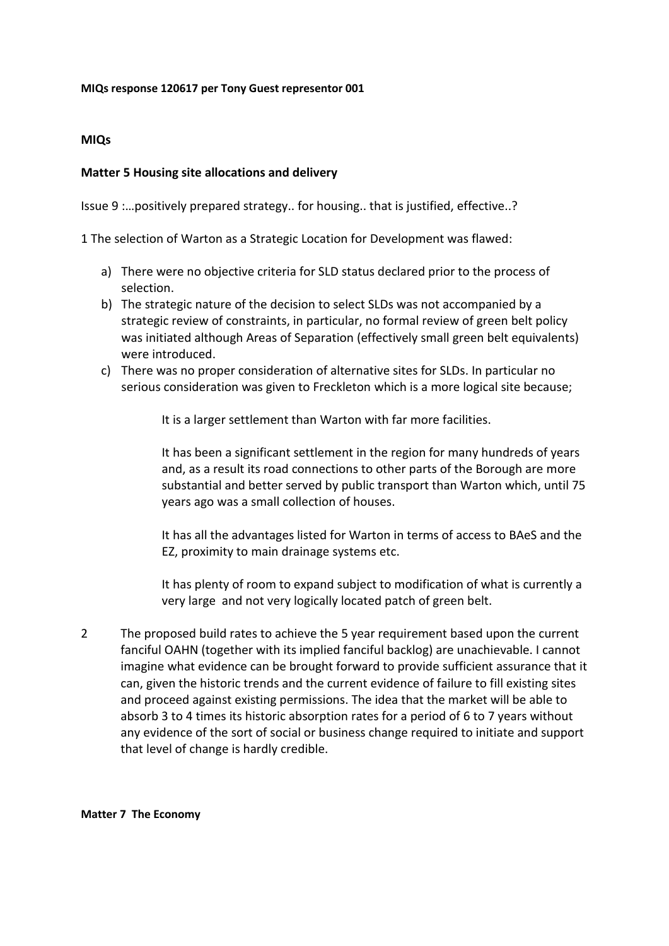## **MIQs response 120617 per Tony Guest representor 001**

## **MIQs**

## **Matter 5 Housing site allocations and delivery**

Issue 9 :…positively prepared strategy.. for housing.. that is justified, effective..?

1 The selection of Warton as a Strategic Location for Development was flawed:

- a) There were no objective criteria for SLD status declared prior to the process of selection.
- b) The strategic nature of the decision to select SLDs was not accompanied by a strategic review of constraints, in particular, no formal review of green belt policy was initiated although Areas of Separation (effectively small green belt equivalents) were introduced.
- c) There was no proper consideration of alternative sites for SLDs. In particular no serious consideration was given to Freckleton which is a more logical site because;

It is a larger settlement than Warton with far more facilities.

It has been a significant settlement in the region for many hundreds of years and, as a result its road connections to other parts of the Borough are more substantial and better served by public transport than Warton which, until 75 years ago was a small collection of houses.

It has all the advantages listed for Warton in terms of access to BAeS and the EZ, proximity to main drainage systems etc.

It has plenty of room to expand subject to modification of what is currently a very large and not very logically located patch of green belt.

2 The proposed build rates to achieve the 5 year requirement based upon the current fanciful OAHN (together with its implied fanciful backlog) are unachievable. I cannot imagine what evidence can be brought forward to provide sufficient assurance that it can, given the historic trends and the current evidence of failure to fill existing sites and proceed against existing permissions. The idea that the market will be able to absorb 3 to 4 times its historic absorption rates for a period of 6 to 7 years without any evidence of the sort of social or business change required to initiate and support that level of change is hardly credible.

## **Matter 7 The Economy**